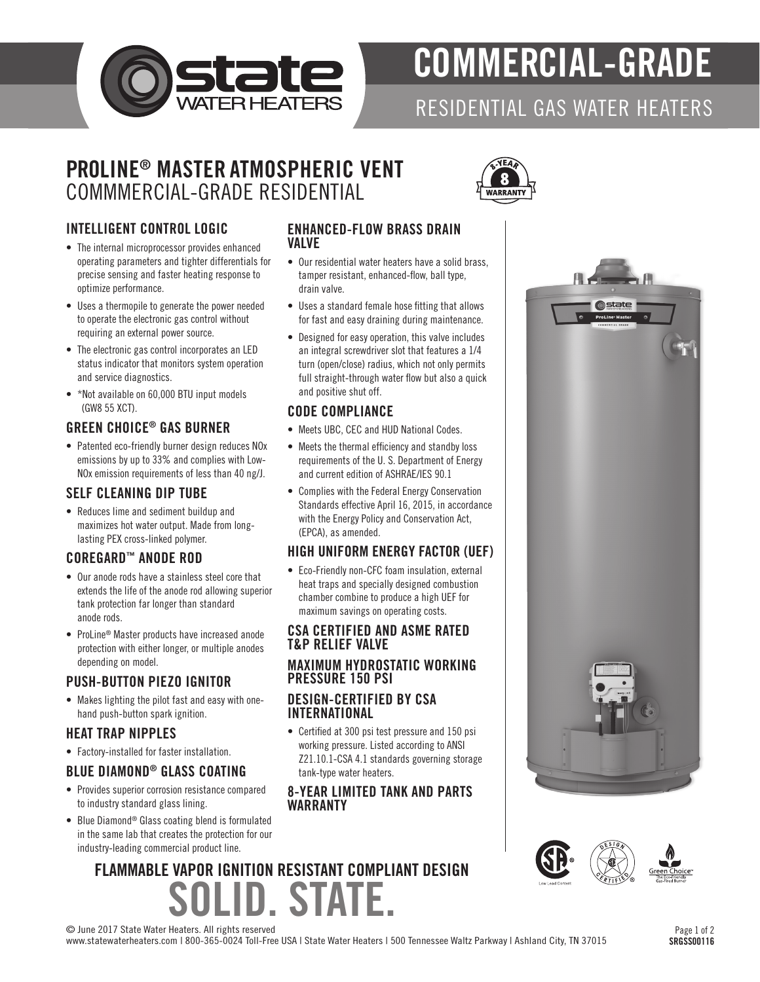

# COMMERCIAL-GRADE

## RESIDENTIAL GAS WATER HEATERS

### PROLINE® MASTER ATMOSPHERIC VENT COMMMERCIAL-GRADE RESIDENTIAL

#### INTELLIGENT CONTROL LOGIC

- The internal microprocessor provides enhanced operating parameters and tighter differentials for precise sensing and faster heating response to optimize performance.
- Uses a thermopile to generate the power needed to operate the electronic gas control without requiring an external power source.
- The electronic gas control incorporates an LED status indicator that monitors system operation and service diagnostics.
- \*Not available on 60,000 BTU input models (GW8 55 XCT).

#### GREEN CHOICE® GAS BURNER

• Patented eco-friendly burner design reduces NOx emissions by up to 33% and complies with Low-NOx emission requirements of less than 40 ng/J.

#### SELF CLEANING DIP TUBE

• Reduces lime and sediment buildup and maximizes hot water output. Made from longlasting PEX cross-linked polymer.

#### COREGARD™ ANODE ROD

- Our anode rods have a stainless steel core that extends the life of the anode rod allowing superior tank protection far longer than standard anode rods.
- ProLine® Master products have increased anode protection with either longer, or multiple anodes depending on model.

#### PUSH-BUTTON PIEZO IGNITOR

• Makes lighting the pilot fast and easy with onehand push-button spark ignition.

#### HEAT TRAP NIPPLES

• Factory-installed for faster installation.

#### BLUE DIAMOND® GLASS COATING

- Provides superior corrosion resistance compared to industry standard glass lining.
- Blue Diamond® Glass coating blend is formulated in the same lab that creates the protection for our industry-leading commercial product line.

#### ENHANCED-FLOW BRASS DRAIN VALVE

- Our residential water heaters have a solid brass, tamper resistant, enhanced-flow, ball type, drain valve.
- Uses a standard female hose fitting that allows for fast and easy draining during maintenance.
- Designed for easy operation, this valve includes an integral screwdriver slot that features a 1/4 turn (open/close) radius, which not only permits full straight-through water flow but also a quick and positive shut off.

#### CODE COMPLIANCE

- Meets UBC, CEC and HUD National Codes.
- Meets the thermal efficiency and standby loss requirements of the U. S. Department of Energy and current edition of ASHRAE/IES 90.1
- Complies with the Federal Energy Conservation Standards effective April 16, 2015, in accordance with the Energy Policy and Conservation Act, (EPCA), as amended.

#### HIGH UNIFORM ENERGY FACTOR (UEF)

• Eco-Friendly non-CFC foam insulation, external heat traps and specially designed combustion chamber combine to produce a high UEF for maximum savings on operating costs.

#### CSA CERTIFIED AND ASME RATED T&P RELIEF VALVE

#### MAXIMUM HYDROSTATIC WORKING PRESSURE 150 PSI

#### DESIGN-CERTIFIED BY CSA INTERNATIONAL

• Certified at 300 psi test pressure and 150 psi working pressure. Listed according to ANSI Z21.10.1-CSA 4.1 standards governing storage tank-type water heaters.

#### 8-YEAR LIMITED TANK AND PARTS WARRANTY

# **JD. STAT** FLAMMABLE VAPOR IGNITION RESISTANT COMPLIANT DESIGN